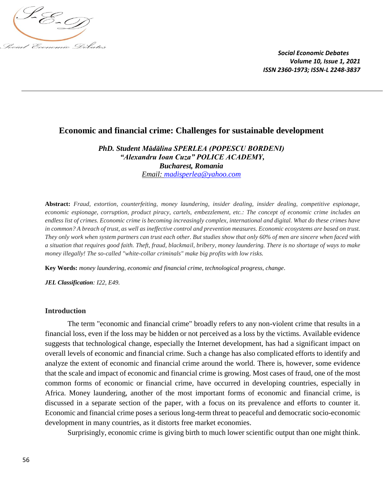

# **Economic and financial crime: Challenges for sustainable development**

*PhD. Student Mădălina SPERLEA (POPESCU BORDENI) "Alexandru Ioan Cuza" POLICE ACADEMY, Bucharest, Romania Email: [madisperlea@yahoo.com](mailto:madisperlea@yahoo.com)*

**Abstract:** *Fraud, extortion, counterfeiting, money laundering, insider dealing, insider dealing, competitive espionage, economic espionage, corruption, product piracy, cartels, embezzlement, etc.: The concept of economic crime includes an endless list of crimes. Economic crime is becoming increasingly complex, international and digital. What do these crimes have in common? A breach of trust, as well as ineffective control and prevention measures. Economic ecosystems are based on trust. They only work when system partners can trust each other. But studies show that only 60% of men are sincere when faced with a situation that requires good faith. Theft, fraud, blackmail, bribery, money laundering. There is no shortage of ways to make money illegally! The so-called "white-collar criminals" make big profits with low risks.*

**Key Words:** *money laundering, economic and financial crime, technological progress, change.*

*JEL Classification: I22, E49.*

#### **Introduction**

The term "economic and financial crime" broadly refers to any non-violent crime that results in a financial loss, even if the loss may be hidden or not perceived as a loss by the victims. Available evidence suggests that technological change, especially the Internet development, has had a significant impact on overall levels of economic and financial crime. Such a change has also complicated efforts to identify and analyze the extent of economic and financial crime around the world. There is, however, some evidence that the scale and impact of economic and financial crime is growing. Most cases of fraud, one of the most common forms of economic or financial crime, have occurred in developing countries, especially in Africa. Money laundering, another of the most important forms of economic and financial crime, is discussed in a separate section of the paper, with a focus on its prevalence and efforts to counter it. Economic and financial crime poses a serious long-term threat to peaceful and democratic socio-economic development in many countries, as it distorts free market economies.

Surprisingly, economic crime is giving birth to much lower scientific output than one might think.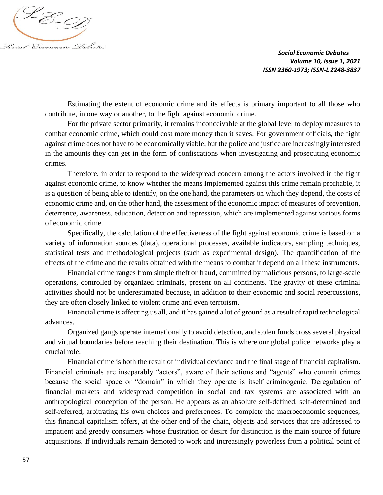

Estimating the extent of economic crime and its effects is primary important to all those who contribute, in one way or another, to the fight against economic crime.

For the private sector primarily, it remains inconceivable at the global level to deploy measures to combat economic crime, which could cost more money than it saves. For government officials, the fight against crime does not have to be economically viable, but the police and justice are increasingly interested in the amounts they can get in the form of confiscations when investigating and prosecuting economic crimes.

Therefore, in order to respond to the widespread concern among the actors involved in the fight against economic crime, to know whether the means implemented against this crime remain profitable, it is a question of being able to identify, on the one hand, the parameters on which they depend, the costs of economic crime and, on the other hand, the assessment of the economic impact of measures of prevention, deterrence, awareness, education, detection and repression, which are implemented against various forms of economic crime.

Specifically, the calculation of the effectiveness of the fight against economic crime is based on a variety of information sources (data), operational processes, available indicators, sampling techniques, statistical tests and methodological projects (such as experimental design). The quantification of the effects of the crime and the results obtained with the means to combat it depend on all these instruments.

Financial crime ranges from simple theft or fraud, committed by malicious persons, to large-scale operations, controlled by organized criminals, present on all continents. The gravity of these criminal activities should not be underestimated because, in addition to their economic and social repercussions, they are often closely linked to violent crime and even terrorism.

Financial crime is affecting us all, and it has gained a lot of ground as a result of rapid technological advances.

Organized gangs operate internationally to avoid detection, and stolen funds cross several physical and virtual boundaries before reaching their destination. This is where our global police networks play a crucial role.

Financial crime is both the result of individual deviance and the final stage of financial capitalism. Financial criminals are inseparably "actors", aware of their actions and "agents" who commit crimes because the social space or "domain" in which they operate is itself criminogenic. Deregulation of financial markets and widespread competition in social and tax systems are associated with an anthropological conception of the person. He appears as an absolute self-defined, self-determined and self-referred, arbitrating his own choices and preferences. To complete the macroeconomic sequences, this financial capitalism offers, at the other end of the chain, objects and services that are addressed to impatient and greedy consumers whose frustration or desire for distinction is the main source of future acquisitions. If individuals remain demoted to work and increasingly powerless from a political point of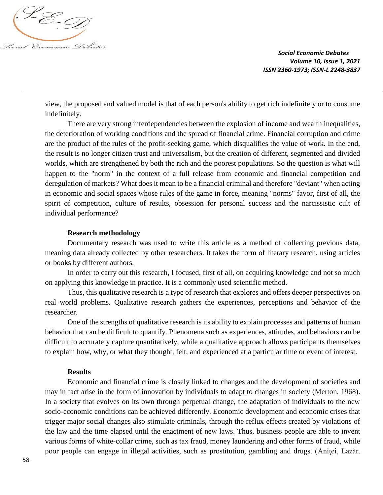

view, the proposed and valued model is that of each person's ability to get rich indefinitely or to consume indefinitely.

There are very strong interdependencies between the explosion of income and wealth inequalities, the deterioration of working conditions and the spread of financial crime. Financial corruption and crime are the product of the rules of the profit-seeking game, which disqualifies the value of work. In the end, the result is no longer citizen trust and universalism, but the creation of different, segmented and divided worlds, which are strengthened by both the rich and the poorest populations. So the question is what will happen to the "norm" in the context of a full release from economic and financial competition and deregulation of markets? What does it mean to be a financial criminal and therefore "deviant" when acting in economic and social spaces whose rules of the game in force, meaning "norms" favor, first of all, the spirit of competition, culture of results, obsession for personal success and the narcissistic cult of individual performance?

## **Research methodology**

Documentary research was used to write this article as a method of collecting previous data, meaning data already collected by other researchers. It takes the form of literary research, using articles or books by different authors.

In order to carry out this research, I focused, first of all, on acquiring knowledge and not so much on applying this knowledge in practice. It is a commonly used scientific method.

Thus, this qualitative research is a type of research that explores and offers deeper perspectives on real world problems. Qualitative research gathers the experiences, perceptions and behavior of the researcher.

One of the strengths of qualitative research is its ability to explain processes and patterns of human behavior that can be difficult to quantify. Phenomena such as experiences, attitudes, and behaviors can be difficult to accurately capture quantitatively, while a qualitative approach allows participants themselves to explain how, why, or what they thought, felt, and experienced at a particular time or event of interest.

### **Results**

Economic and financial crime is closely linked to changes and the development of societies and may in fact arise in the form of innovation by individuals to adapt to changes in society (Merton, 1968). In a society that evolves on its own through perpetual change, the adaptation of individuals to the new socio-economic conditions can be achieved differently. Economic development and economic crises that trigger major social changes also stimulate criminals, through the reflux effects created by violations of the law and the time elapsed until the enactment of new laws. Thus, business people are able to invent various forms of white-collar crime, such as tax fraud, money laundering and other forms of fraud, while poor people can engage in illegal activities, such as prostitution, gambling and drugs. (Aniţei, Lazăr.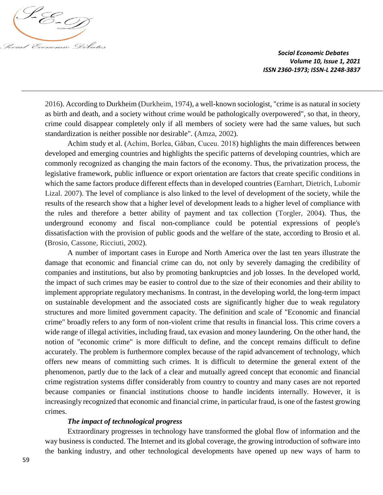

2016). According to Durkheim (Durkheim, 1974), a well-known sociologist, "crime is as natural in society as birth and death, and a society without crime would be pathologically overpowered", so that, in theory, crime could disappear completely only if all members of society were had the same values, but such standardization is neither possible nor desirable". (Amza, 2002).

Achim study et al. (Achim, Borlea, Găban, Cuceu. 2018) highlights the main differences between developed and emerging countries and highlights the specific patterns of developing countries, which are commonly recognized as changing the main factors of the economy. Thus, the privatization process, the legislative framework, public influence or export orientation are factors that create specific conditions in which the same factors produce different effects than in developed countries (Earnhart, Dietrich, Lubomir Lizal. 2007). The level of compliance is also linked to the level of development of the society, while the results of the research show that a higher level of development leads to a higher level of compliance with the rules and therefore a better ability of payment and tax collection (Torgler, 2004). Thus, the underground economy and fiscal non-compliance could be potential expressions of people's dissatisfaction with the provision of public goods and the welfare of the state, according to Brosio et al. (Brosio, Cassone, Ricciuti, 2002).

A number of important cases in Europe and North America over the last ten years illustrate the damage that economic and financial crime can do, not only by severely damaging the credibility of companies and institutions, but also by promoting bankruptcies and job losses. In the developed world, the impact of such crimes may be easier to control due to the size of their economies and their ability to implement appropriate regulatory mechanisms. In contrast, in the developing world, the long-term impact on sustainable development and the associated costs are significantly higher due to weak regulatory structures and more limited government capacity. The definition and scale of "Economic and financial crime" broadly refers to any form of non-violent crime that results in financial loss. This crime covers a wide range of illegal activities, including fraud, tax evasion and money laundering. On the other hand, the notion of "economic crime" is more difficult to define, and the concept remains difficult to define accurately. The problem is furthermore complex because of the rapid advancement of technology, which offers new means of committing such crimes. It is difficult to determine the general extent of the phenomenon, partly due to the lack of a clear and mutually agreed concept that economic and financial crime registration systems differ considerably from country to country and many cases are not reported because companies or financial institutions choose to handle incidents internally. However, it is increasingly recognized that economic and financial crime, in particular fraud, is one of the fastest growing crimes.

#### *The impact of technological progress*

Extraordinary progresses in technology have transformed the global flow of information and the way business is conducted. The Internet and its global coverage, the growing introduction of software into the banking industry, and other technological developments have opened up new ways of harm to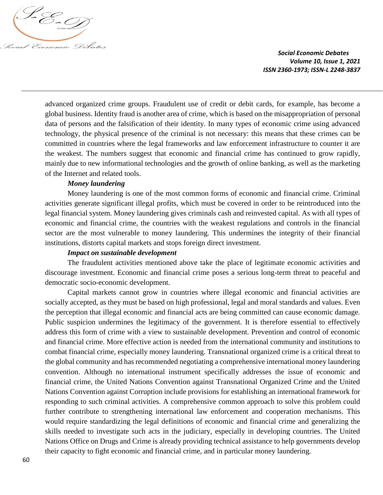

advanced organized crime groups. Fraudulent use of credit or debit cards, for example, has become a global business. Identity fraud is another area of crime, which is based on the misappropriation of personal data of persons and the falsification of their identity. In many types of economic crime using advanced technology, the physical presence of the criminal is not necessary: this means that these crimes can be committed in countries where the legal frameworks and law enforcement infrastructure to counter it are the weakest. The numbers suggest that economic and financial crime has continued to grow rapidly, mainly due to new informational technologies and the growth of online banking, as well as the marketing of the Internet and related tools.

## *Money laundering*

Money laundering is one of the most common forms of economic and financial crime. Criminal activities generate significant illegal profits, which must be covered in order to be reintroduced into the legal financial system. Money laundering gives criminals cash and reinvested capital. As with all types of economic and financial crime, the countries with the weakest regulations and controls in the financial sector are the most vulnerable to money laundering. This undermines the integrity of their financial institutions, distorts capital markets and stops foreign direct investment.

#### *Impact on sustainable development*

The fraudulent activities mentioned above take the place of legitimate economic activities and discourage investment. Economic and financial crime poses a serious long-term threat to peaceful and democratic socio-economic development.

Capital markets cannot grow in countries where illegal economic and financial activities are socially accepted, as they must be based on high professional, legal and moral standards and values. Even the perception that illegal economic and financial acts are being committed can cause economic damage. Public suspicion undermines the legitimacy of the government. It is therefore essential to effectively address this form of crime with a view to sustainable development. Prevention and control of economic and financial crime. More effective action is needed from the international community and institutions to combat financial crime, especially money laundering. Transnational organized crime is a critical threat to the global community and has recommended negotiating a comprehensive international money laundering convention. Although no international instrument specifically addresses the issue of economic and financial crime, the United Nations Convention against Transnational Organized Crime and the United Nations Convention against Corruption include provisions for establishing an international framework for responding to such criminal activities. A comprehensive common approach to solve this problem could further contribute to strengthening international law enforcement and cooperation mechanisms. This would require standardizing the legal definitions of economic and financial crime and generalizing the skills needed to investigate such acts in the judiciary, especially in developing countries. The United Nations Office on Drugs and Crime is already providing technical assistance to help governments develop their capacity to fight economic and financial crime, and in particular money laundering.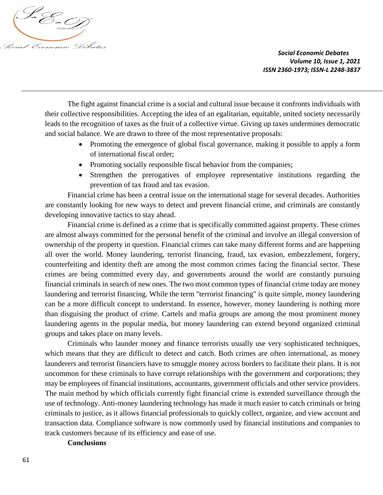

The fight against financial crime is a social and cultural issue because it confronts individuals with their collective responsibilities. Accepting the idea of an egalitarian, equitable, united society necessarily leads to the recognition of taxes as the fruit of a collective virtue. Giving up taxes undermines democratic and social balance. We are drawn to three of the most representative proposals:

- Promoting the emergence of global fiscal governance, making it possible to apply a form of international fiscal order;
- Promoting socially responsible fiscal behavior from the companies;
- Strengthen the prerogatives of employee representative institutions regarding the prevention of tax fraud and tax evasion.

Financial crime has been a central issue on the international stage for several decades. Authorities are constantly looking for new ways to detect and prevent financial crime, and criminals are constantly developing innovative tactics to stay ahead.

Financial crime is defined as a crime that is specifically committed against property. These crimes are almost always committed for the personal benefit of the criminal and involve an illegal conversion of ownership of the property in question. Financial crimes can take many different forms and are happening all over the world. Money laundering, terrorist financing, fraud, tax evasion, embezzlement, forgery, counterfeiting and identity theft are among the most common crimes facing the financial sector. These crimes are being committed every day, and governments around the world are constantly pursuing financial criminals in search of new ones. The two most common types of financial crime today are money laundering and terrorist financing. While the term "terrorist financing" is quite simple, money laundering can be a more difficult concept to understand. In essence, however, money laundering is nothing more than disguising the product of crime. Cartels and mafia groups are among the most prominent money laundering agents in the popular media, but money laundering can extend beyond organized criminal groups and takes place on many levels.

Criminals who launder money and finance terrorists usually use very sophisticated techniques, which means that they are difficult to detect and catch. Both crimes are often international, as money launderers and terrorist financiers have to smuggle money across borders to facilitate their plans. It is not uncommon for these criminals to have corrupt relationships with the government and corporations; they may be employees of financial institutions, accountants, government officials and other service providers. The main method by which officials currently fight financial crime is extended surveillance through the use of technology. Anti-money laundering technology has made it much easier to catch criminals or bring criminals to justice, as it allows financial professionals to quickly collect, organize, and view account and transaction data. Compliance software is now commonly used by financial institutions and companies to track customers because of its efficiency and ease of use.

## **Conclusions**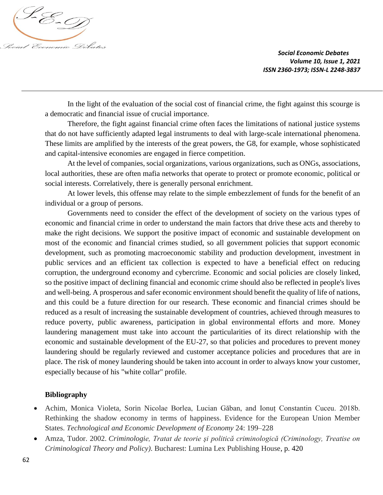

In the light of the evaluation of the social cost of financial crime, the fight against this scourge is a democratic and financial issue of crucial importance.

Therefore, the fight against financial crime often faces the limitations of national justice systems that do not have sufficiently adapted legal instruments to deal with large-scale international phenomena. These limits are amplified by the interests of the great powers, the G8, for example, whose sophisticated and capital-intensive economies are engaged in fierce competition.

At the level of companies, social organizations, various organizations, such as ONGs, associations, local authorities, these are often mafia networks that operate to protect or promote economic, political or social interests. Correlatively, there is generally personal enrichment.

At lower levels, this offense may relate to the simple embezzlement of funds for the benefit of an individual or a group of persons.

Governments need to consider the effect of the development of society on the various types of economic and financial crime in order to understand the main factors that drive these acts and thereby to make the right decisions. We support the positive impact of economic and sustainable development on most of the economic and financial crimes studied, so all government policies that support economic development, such as promoting macroeconomic stability and production development, investment in public services and an efficient tax collection is expected to have a beneficial effect on reducing corruption, the underground economy and cybercrime. Economic and social policies are closely linked, so the positive impact of declining financial and economic crime should also be reflected in people's lives and well-being. A prosperous and safer economic environment should benefit the quality of life of nations, and this could be a future direction for our research. These economic and financial crimes should be reduced as a result of increasing the sustainable development of countries, achieved through measures to reduce poverty, public awareness, participation in global environmental efforts and more. Money laundering management must take into account the particularities of its direct relationship with the economic and sustainable development of the EU-27, so that policies and procedures to prevent money laundering should be regularly reviewed and customer acceptance policies and procedures that are in place. The risk of money laundering should be taken into account in order to always know your customer, especially because of his "white collar" profile.

# **Bibliography**

- Achim, Monica Violeta, Sorin Nicolae Borlea, Lucian Găban, and Ionuț Constantin Cuceu. 2018b. Rethinking the shadow economy in terms of happiness. Evidence for the European Union Member States. *Technological and Economic Development of Economy* 24: 199–228
- Amza, Tudor. 2002. *Criminologie, Tratat de teorie şi politică criminologică (Criminology, Treatise on Criminological Theory and Policy)*. Bucharest: Lumina Lex Publishing House, p. 420